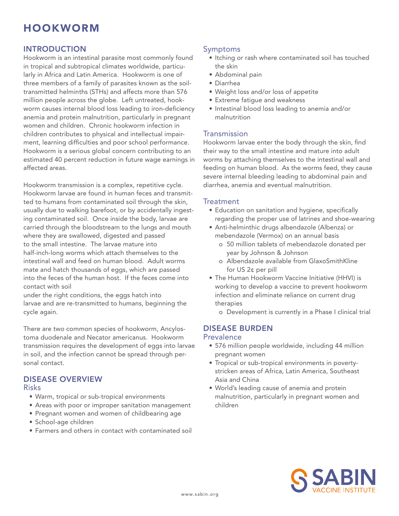# HOOKWORM

## **INTRODUCTION**

Hookworm is an intestinal parasite most commonly found in tropical and subtropical climates worldwide, particularly in Africa and Latin America. Hookworm is one of three members of a family of parasites known as the soiltransmitted helminths (STHs) and affects more than 576 million people across the globe. Left untreated, hookworm causes internal blood loss leading to iron-deficiency anemia and protein malnutrition, particularly in pregnant women and children. Chronic hookworm infection in children contributes to physical and intellectual impairment, learning difficulties and poor school performance. Hookworm is a serious global concern contributing to an estimated 40 percent reduction in future wage earnings in affected areas.

Hookworm transmission is a complex, repetitive cycle. Hookworm larvae are found in human feces and transmitted to humans from contaminated soil through the skin, usually due to walking barefoot, or by accidentally ingesting contaminated soil. Once inside the body, larvae are carried through the bloodstream to the lungs and mouth where they are swallowed, digested and passed to the small intestine. The larvae mature into half-inch-long worms which attach themselves to the intestinal wall and feed on human blood. Adult worms mate and hatch thousands of eggs, which are passed into the feces of the human host. If the feces come into contact with soil

under the right conditions, the eggs hatch into larvae and are re-transmitted to humans, beginning the cycle again.

There are two common species of hookworm, Ancylostoma duodenale and Necator americanus. Hookworm transmission requires the development of eggs into larvae in soil, and the infection cannot be spread through personal contact.

## Disease Overview

#### Risks

- • Warm, tropical or sub-tropical environments
- Areas with poor or improper sanitation management
- • Pregnant women and women of childbearing age
- • School-age children
- • Farmers and others in contact with contaminated soil

### Symptoms

- Itching or rash where contaminated soil has touched the skin
- • Abdominal pain
- • Diarrhea
- Weight loss and/or loss of appetite
- Extreme fatigue and weakness
- • Intestinal blood loss leading to anemia and/or malnutrition

### Transmission

Hookworm larvae enter the body through the skin, find their way to the small intestine and mature into adult worms by attaching themselves to the intestinal wall and feeding on human blood. As the worms feed, they cause severe internal bleeding leading to abdominal pain and diarrhea, anemia and eventual malnutrition.

#### **Treatment**

- Education on sanitation and hygiene, specifically regarding the proper use of latrines and shoe-wearing
- • Anti-helminthic drugs albendazole (Albenza) or mebendazole (Vermox) on an annual basis
	- o 50 million tablets of mebendazole donated per year by Johnson & Johnson
	- o Albendazole available from GlaxoSmithKline for US 2¢ per pill
- The Human Hookworm Vaccine Initiative (HHVI) is working to develop a vaccine to prevent hookworm infection and eliminate reliance on current drug therapies
	- o Development is currently in a Phase I clinical trial

## Disease Burden

#### **Prevalence**

- 576 million people worldwide, including 44 million pregnant women
- Tropical or sub-tropical environments in poverty stricken areas of Africa, Latin America, Southeast Asia and China
- • World's leading cause of anemia and protein malnutrition, particularly in pregnant women and children